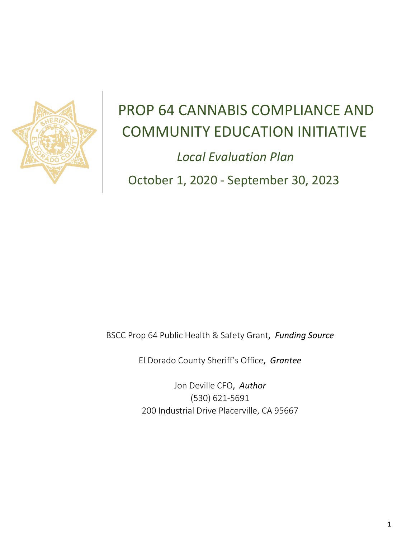

# PROP 64 CANNABIS COMPLIANCE AND COMMUNITY EDUCATION INITIATIVE

 *Local Evaluation Plan* October 1, 2020 - September 30, 2023

BSCC Prop 64 Public Health & Safety Grant, *Funding Source*

El Dorado County Sheriff's Office, *Grantee*

Jon Deville CFO, *Author* (530) 621-5691 200 Industrial Drive Placerville, CA 95667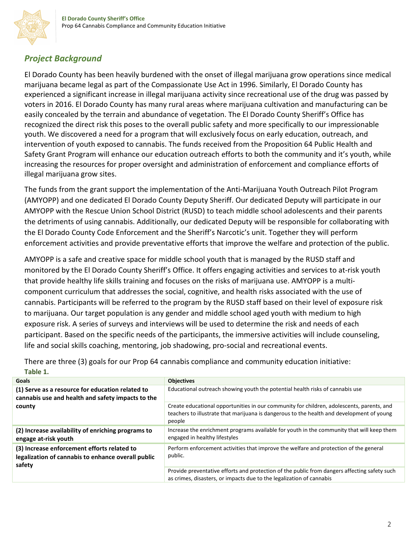### *Project Background*

El Dorado County has been heavily burdened with the onset of illegal marijuana grow operations since medical marijuana became legal as part of the Compassionate Use Act in 1996. Similarly, El Dorado County has experienced a significant increase in illegal marijuana activity since recreational use of the drug was passed by voters in 2016. El Dorado County has many rural areas where marijuana cultivation and manufacturing can be easily concealed by the terrain and abundance of vegetation. The El Dorado County Sheriff's Office has recognized the direct risk this poses to the overall public safety and more specifically to our impressionable youth. We discovered a need for a program that will exclusively focus on early education, outreach, and intervention of youth exposed to cannabis. The funds received from the Proposition 64 Public Health and Safety Grant Program will enhance our education outreach efforts to both the community and it's youth, while increasing the resources for proper oversight and administration of enforcement and compliance efforts of illegal marijuana grow sites.

The funds from the grant support the implementation of the Anti-Marijuana Youth Outreach Pilot Program (AMYOPP) and one dedicated El Dorado County Deputy Sheriff. Our dedicated Deputy will participate in our AMYOPP with the Rescue Union School District (RUSD) to teach middle school adolescents and their parents the detriments of using cannabis. Additionally, our dedicated Deputy will be responsible for collaborating with the El Dorado County Code Enforcement and the Sheriff's Narcotic's unit. Together they will perform enforcement activities and provide preventative efforts that improve the welfare and protection of the public.

AMYOPP is a safe and creative space for middle school youth that is managed by the RUSD staff and monitored by the El Dorado County Sheriff's Office. It offers engaging activities and services to at-risk youth that provide healthy life skills training and focuses on the risks of marijuana use. AMYOPP is a multicomponent curriculum that addresses the social, cognitive, and health risks associated with the use of cannabis. Participants will be referred to the program by the RUSD staff based on their level of exposure risk to marijuana. Our target population is any gender and middle school aged youth with medium to high exposure risk. A series of surveys and interviews will be used to determine the risk and needs of each participant. Based on the specific needs of the participants, the immersive activities will include counseling, life and social skills coaching, mentoring, job shadowing, pro-social and recreational events.

| <b>Goals</b>                                                                                                | <b>Objectives</b>                                                                                                                                                                                |
|-------------------------------------------------------------------------------------------------------------|--------------------------------------------------------------------------------------------------------------------------------------------------------------------------------------------------|
| (1) Serve as a resource for education related to<br>cannabis use and health and safety impacts to the       | Educational outreach showing youth the potential health risks of cannabis use                                                                                                                    |
| county                                                                                                      | Create educational opportunities in our community for children, adolescents, parents, and<br>teachers to illustrate that marijuana is dangerous to the health and development of young<br>people |
| (2) Increase availability of enriching programs to<br>engage at-risk youth                                  | Increase the enrichment programs available for youth in the community that will keep them<br>engaged in healthy lifestyles                                                                       |
| (3) Increase enforcement efforts related to<br>legalization of cannabis to enhance overall public<br>safety | Perform enforcement activities that improve the welfare and protection of the general<br>public.                                                                                                 |
|                                                                                                             | Provide preventative efforts and protection of the public from dangers affecting safety such<br>as crimes, disasters, or impacts due to the legalization of cannabis                             |

There are three (3) goals for our Prop 64 cannabis compliance and community education initiative: **Table 1.**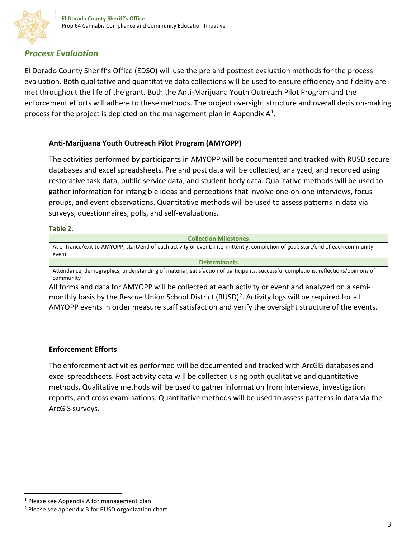### *Process Evaluation*

El Dorado County Sheriff's Office (EDSO) will use the pre and posttest evaluation methods for the process evaluation. Both qualitative and quantitative data collections will be used to ensure efficiency and fidelity are met throughout the life of the grant. Both the Anti-Marijuana Youth Outreach Pilot Program and the enforcement efforts will adhere to these methods. The project oversight structure and overall decision-making process for the project is depicted on the management plan in Appendix  $A^1$ .

#### **Anti-Marijuana Youth Outreach Pilot Program (AMYOPP)**

The activities performed by participants in AMYOPP will be documented and tracked with RUSD secure databases and excel spreadsheets. Pre and post data will be collected, analyzed, and recorded using restorative task data, public service data, and student body data. Qualitative methods will be used to gather information for intangible ideas and perceptions that involve one-on-one interviews, focus groups, and event observations. Quantitative methods will be used to assess patterns in data via surveys, questionnaires, polls, and self-evaluations.

#### **Table 2.**

| <b>Collection Milestones</b>                                                                                                       |  |  |
|------------------------------------------------------------------------------------------------------------------------------------|--|--|
| At entrance/exit to AMYOPP, start/end of each activity or event, intermittently, completion of goal, start/end of each community   |  |  |
| event                                                                                                                              |  |  |
| <b>Determinants</b>                                                                                                                |  |  |
| Attendance, demographics, understanding of material, satisfaction of participants, successful completions, reflections/opinions of |  |  |
| community                                                                                                                          |  |  |

All forms and data for AMYOPP will be collected at each activity or event and analyzed on a semimonthly basis by the Rescue Union School District (RUSD)<sup>2</sup>. Activity logs will be required for all AMYOPP events in order measure staff satisfaction and verify the oversight structure of the events.

#### **Enforcement Efforts**

The enforcement activities performed will be documented and tracked with ArcGIS databases and excel spreadsheets. Post activity data will be collected using both qualitative and quantitative methods. Qualitative methods will be used to gather information from interviews, investigation reports, and cross examinations. Quantitative methods will be used to assess patterns in data via the ArcGIS surveys.

<span id="page-2-0"></span> $1$  Please see Appendix A for management plan

<span id="page-2-1"></span><sup>2</sup> Please see appendix B for RUSD organization chart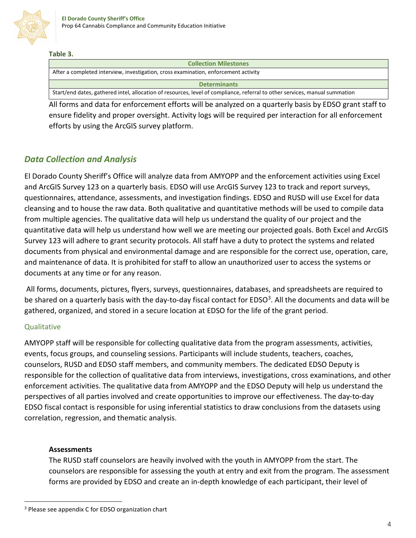

#### **Table 3.**

| <b>Collection Milestones</b>                                                                                                |  |  |
|-----------------------------------------------------------------------------------------------------------------------------|--|--|
| After a completed interview, investigation, cross examination, enforcement activity                                         |  |  |
| <b>Determinants</b>                                                                                                         |  |  |
| Start/end dates, gathered intel, allocation of resources, level of compliance, referral to other services, manual summation |  |  |

All forms and data for enforcement efforts will be analyzed on a quarterly basis by EDSO grant staff to ensure fidelity and proper oversight. Activity logs will be required per interaction for all enforcement efforts by using the ArcGIS survey platform.

#### *Data Collection and Analysis*

El Dorado County Sheriff's Office will analyze data from AMYOPP and the enforcement activities using Excel and ArcGIS Survey 123 on a quarterly basis. EDSO will use ArcGIS Survey 123 to track and report surveys, questionnaires, attendance, assessments, and investigation findings. EDSO and RUSD will use Excel for data cleansing and to house the raw data. Both qualitative and quantitative methods will be used to compile data from multiple agencies. The qualitative data will help us understand the quality of our project and the quantitative data will help us understand how well we are meeting our projected goals. Both Excel and ArcGIS Survey 123 will adhere to grant security protocols. All staff have a duty to protect the systems and related documents from physical and environmental damage and are responsible for the correct use, operation, care, and maintenance of data. It is prohibited for staff to allow an unauthorized user to access the systems or documents at any time or for any reason.

All forms, documents, pictures, flyers, surveys, questionnaires, databases, and spreadsheets are required to be shared on a quarterly basis with the day-to-day fiscal contact for EDSO<sup>3</sup>. All the documents and data will be gathered, organized, and stored in a secure location at EDSO for the life of the grant period.

#### Qualitative

AMYOPP staff will be responsible for collecting qualitative data from the program assessments, activities, events, focus groups, and counseling sessions. Participants will include students, teachers, coaches, counselors, RUSD and EDSO staff members, and community members. The dedicated EDSO Deputy is responsible for the collection of qualitative data from interviews, investigations, cross examinations, and other enforcement activities. The qualitative data from AMYOPP and the EDSO Deputy will help us understand the perspectives of all parties involved and create opportunities to improve our effectiveness. The day-to-day EDSO fiscal contact is responsible for using inferential statistics to draw conclusions from the datasets using correlation, regression, and thematic analysis.

#### **Assessments**

The RUSD staff counselors are heavily involved with the youth in AMYOPP from the start. The counselors are responsible for assessing the youth at entry and exit from the program. The assessment forms are provided by EDSO and create an in-depth knowledge of each participant, their level of

<span id="page-3-0"></span><sup>&</sup>lt;sup>3</sup> Please see appendix C for EDSO organization chart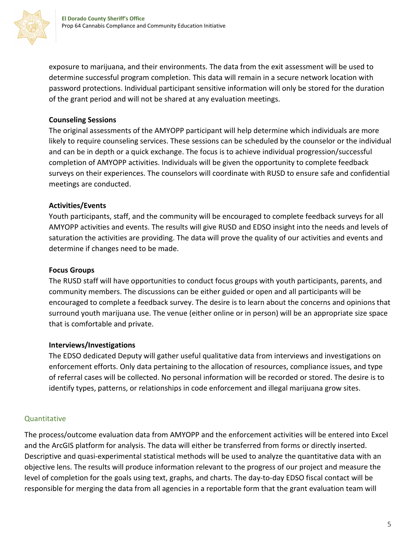

exposure to marijuana, and their environments. The data from the exit assessment will be used to determine successful program completion. This data will remain in a secure network location with password protections. Individual participant sensitive information will only be stored for the duration of the grant period and will not be shared at any evaluation meetings.

#### **Counseling Sessions**

The original assessments of the AMYOPP participant will help determine which individuals are more likely to require counseling services. These sessions can be scheduled by the counselor or the individual and can be in depth or a quick exchange. The focus is to achieve individual progression/successful completion of AMYOPP activities. Individuals will be given the opportunity to complete feedback surveys on their experiences. The counselors will coordinate with RUSD to ensure safe and confidential meetings are conducted.

#### **Activities/Events**

Youth participants, staff, and the community will be encouraged to complete feedback surveys for all AMYOPP activities and events. The results will give RUSD and EDSO insight into the needs and levels of saturation the activities are providing. The data will prove the quality of our activities and events and determine if changes need to be made.

#### **Focus Groups**

The RUSD staff will have opportunities to conduct focus groups with youth participants, parents, and community members. The discussions can be either guided or open and all participants will be encouraged to complete a feedback survey. The desire is to learn about the concerns and opinions that surround youth marijuana use. The venue (either online or in person) will be an appropriate size space that is comfortable and private.

#### **Interviews/Investigations**

The EDSO dedicated Deputy will gather useful qualitative data from interviews and investigations on enforcement efforts. Only data pertaining to the allocation of resources, compliance issues, and type of referral cases will be collected. No personal information will be recorded or stored. The desire is to identify types, patterns, or relationships in code enforcement and illegal marijuana grow sites.

#### **Quantitative**

The process/outcome evaluation data from AMYOPP and the enforcement activities will be entered into Excel and the ArcGIS platform for analysis. The data will either be transferred from forms or directly inserted. Descriptive and quasi-experimental statistical methods will be used to analyze the quantitative data with an objective lens. The results will produce information relevant to the progress of our project and measure the level of completion for the goals using text, graphs, and charts. The day-to-day EDSO fiscal contact will be responsible for merging the data from all agencies in a reportable form that the grant evaluation team will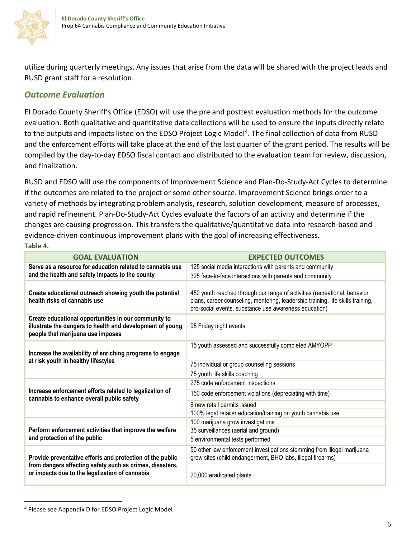

utilize during quarterly meetings. Any issues that arise from the data will be shared with the project leads and RUSD grant staff for a resolution.

### *Outcome Evaluation*

El Dorado County Sheriff's Office (EDSO) will use the pre and posttest evaluation methods for the outcome evaluation. Both qualitative and quantitative data collections will be used to ensure the inputs directly relate to the outputs and impacts listed on the EDSO Project Logic Model<sup>4</sup>. The final collection of data from RUSD and the enforcement efforts will take place at the end of the last quarter of the grant period. The results will be compiled by the day-to-day EDSO fiscal contact and distributed to the evaluation team for review, discussion, and finalization.

RUSD and EDSO will use the components of Improvement Science and Plan-Do-Study-Act Cycles to determine if the outcomes are related to the project or some other source. Improvement Science brings order to a variety of methods by integrating problem analysis, research, solution development, measure of processes, and rapid refinement. Plan-Do-Study-Act Cycles evaluate the factors of an activity and determine if the changes are causing progression. This transfers the qualitative/quantitative data into research-based and evidence-driven continuous improvement plans with the goal of increasing effectiveness. **Table 4.**

| <b>GOAL EVALUATION</b>                                                                                                                                 | <b>EXPECTED OUTCOMES</b>                                                                                                                                                                                              |
|--------------------------------------------------------------------------------------------------------------------------------------------------------|-----------------------------------------------------------------------------------------------------------------------------------------------------------------------------------------------------------------------|
| Serve as a resource for education related to cannabis use<br>and the health and safety impacts to the county                                           | 125 social media interactions with parents and community                                                                                                                                                              |
|                                                                                                                                                        | 325 face-to-face interactions with parents and community                                                                                                                                                              |
| Create educational outreach showing youth the potential<br>health risks of cannabis use                                                                | 450 youth reached through our range of activities (recreational, behavior<br>plans, career counseling, mentoring, leadership training, life skills training,<br>pro-social events, substance use awareness education) |
| Create educational opportunities in our community to<br>illustrate the dangers to health and development of young<br>people that marijuana use imposes | 95 Friday night events                                                                                                                                                                                                |
| Increase the availability of enriching programs to engage                                                                                              | 15 youth assessed and successfully completed AMYOPP                                                                                                                                                                   |
| at risk youth in healthy lifestyles                                                                                                                    | 75 individual or group counseling sessions                                                                                                                                                                            |
|                                                                                                                                                        | 75 youth life skills coaching                                                                                                                                                                                         |
| Increase enforcement efforts related to legalization of<br>cannabis to enhance overall public safety                                                   | 275 code enforcement inspections                                                                                                                                                                                      |
|                                                                                                                                                        | 150 code enforcement violations (depreciating with time)                                                                                                                                                              |
|                                                                                                                                                        | 6 new retail permits issued                                                                                                                                                                                           |
|                                                                                                                                                        | 100% legal retailer education/training on youth cannabis use                                                                                                                                                          |
| Perform enforcement activities that improve the welfare                                                                                                | 100 marijuana grow investigations                                                                                                                                                                                     |
|                                                                                                                                                        | 35 surveillances (aerial and ground)                                                                                                                                                                                  |
| and protection of the public                                                                                                                           | 5 environmental tests performed                                                                                                                                                                                       |
| Provide preventative efforts and protection of the public                                                                                              | 50 other law enforcement investigations stemming from illegal marijuana<br>grow sites (child endangerment, BHO labs, illegal firearms)                                                                                |
| from dangers affecting safety such as crimes, disasters,<br>or impacts due to the legalization of cannabis                                             | 20,000 eradicated plants                                                                                                                                                                                              |

<span id="page-5-0"></span><sup>4</sup> Please see Appendix D for EDSO Project Logic Model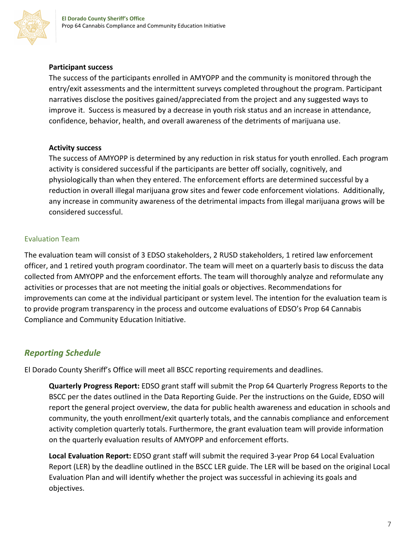

#### **Participant success**

The success of the participants enrolled in AMYOPP and the community is monitored through the entry/exit assessments and the intermittent surveys completed throughout the program. Participant narratives disclose the positives gained/appreciated from the project and any suggested ways to improve it. Success is measured by a decrease in youth risk status and an increase in attendance, confidence, behavior, health, and overall awareness of the detriments of marijuana use.

#### **Activity success**

The success of AMYOPP is determined by any reduction in risk status for youth enrolled. Each program activity is considered successful if the participants are better off socially, cognitively, and physiologically than when they entered. The enforcement efforts are determined successful by a reduction in overall illegal marijuana grow sites and fewer code enforcement violations. Additionally, any increase in community awareness of the detrimental impacts from illegal marijuana grows will be considered successful.

#### Evaluation Team

The evaluation team will consist of 3 EDSO stakeholders, 2 RUSD stakeholders, 1 retired law enforcement officer, and 1 retired youth program coordinator. The team will meet on a quarterly basis to discuss the data collected from AMYOPP and the enforcement efforts. The team will thoroughly analyze and reformulate any activities or processes that are not meeting the initial goals or objectives. Recommendations for improvements can come at the individual participant or system level. The intention for the evaluation team is to provide program transparency in the process and outcome evaluations of EDSO's Prop 64 Cannabis Compliance and Community Education Initiative.

#### *Reporting Schedule*

El Dorado County Sheriff's Office will meet all BSCC reporting requirements and deadlines.

**Quarterly Progress Report:** EDSO grant staff will submit the Prop 64 Quarterly Progress Reports to the BSCC per the dates outlined in the Data Reporting Guide. Per the instructions on the Guide, EDSO will report the general project overview, the data for public health awareness and education in schools and community, the youth enrollment/exit quarterly totals, and the cannabis compliance and enforcement activity completion quarterly totals. Furthermore, the grant evaluation team will provide information on the quarterly evaluation results of AMYOPP and enforcement efforts.

**Local Evaluation Report:** EDSO grant staff will submit the required 3-year Prop 64 Local Evaluation Report (LER) by the deadline outlined in the BSCC LER guide. The LER will be based on the original Local Evaluation Plan and will identify whether the project was successful in achieving its goals and objectives.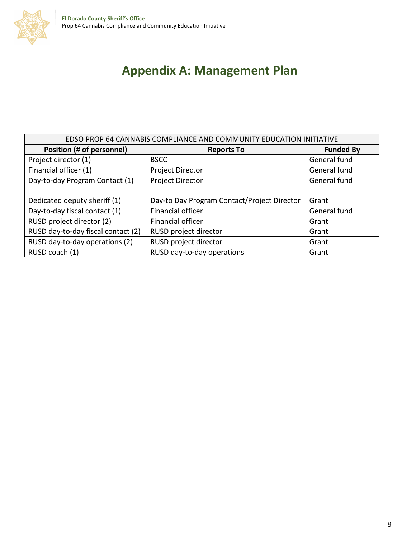

| EDSO PROP 64 CANNABIS COMPLIANCE AND COMMUNITY EDUCATION INITIATIVE |                                             |                  |  |
|---------------------------------------------------------------------|---------------------------------------------|------------------|--|
| Position (# of personnel)                                           | <b>Reports To</b>                           | <b>Funded By</b> |  |
| Project director (1)                                                | <b>BSCC</b>                                 | General fund     |  |
| Financial officer (1)                                               | <b>Project Director</b>                     | General fund     |  |
| Day-to-day Program Contact (1)                                      | <b>Project Director</b>                     | General fund     |  |
|                                                                     |                                             |                  |  |
| Dedicated deputy sheriff (1)                                        | Day-to Day Program Contact/Project Director | Grant            |  |
| Day-to-day fiscal contact (1)                                       | <b>Financial officer</b>                    | General fund     |  |
| RUSD project director (2)                                           | Financial officer                           | Grant            |  |
| RUSD day-to-day fiscal contact (2)                                  | RUSD project director                       | Grant            |  |
| RUSD day-to-day operations (2)                                      | RUSD project director                       | Grant            |  |
| RUSD coach (1)                                                      | RUSD day-to-day operations                  | Grant            |  |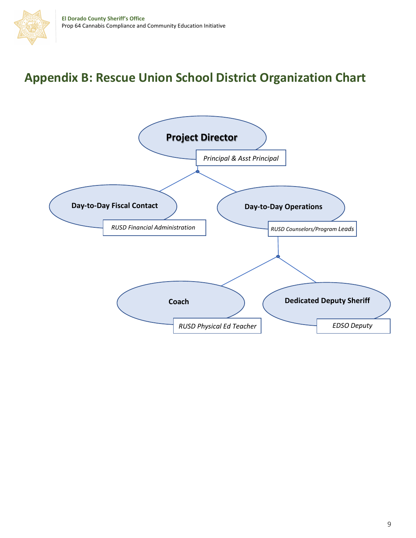## **Appendix B: Rescue Union School District Organization Chart**

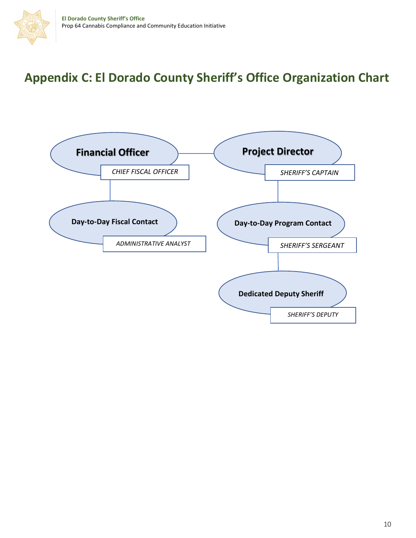## **Appendix C: El Dorado County Sheriff's Office Organization Chart**